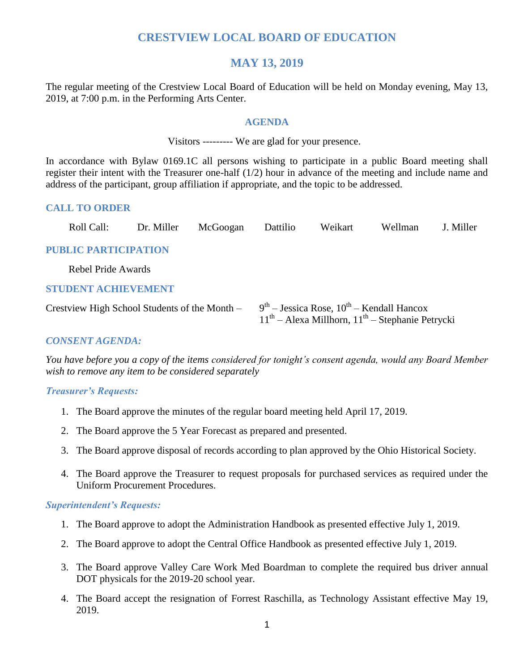### **CRESTVIEW LOCAL BOARD OF EDUCATION**

### **MAY 13, 2019**

The regular meeting of the Crestview Local Board of Education will be held on Monday evening, May 13, 2019, at 7:00 p.m. in the Performing Arts Center.

#### **AGENDA**

Visitors --------- We are glad for your presence.

In accordance with Bylaw 0169.1C all persons wishing to participate in a public Board meeting shall register their intent with the Treasurer one-half (1/2) hour in advance of the meeting and include name and address of the participant, group affiliation if appropriate, and the topic to be addressed.

### **CALL TO ORDER**

| Roll Call:                                    | Dr. Miller | McGoogan | Dattilio | Weikart | Wellman                                                                                               | J. Miller |
|-----------------------------------------------|------------|----------|----------|---------|-------------------------------------------------------------------------------------------------------|-----------|
| <b>PUBLIC PARTICIPATION</b>                   |            |          |          |         |                                                                                                       |           |
| Rebel Pride Awards                            |            |          |          |         |                                                                                                       |           |
| <b>STUDENT ACHIEVEMENT</b>                    |            |          |          |         |                                                                                                       |           |
| Crestview High School Students of the Month – |            |          |          |         | $9th$ – Jessica Rose, $10th$ – Kendall Hancox<br>$11th$ – Alexa Millhorn, $11th$ – Stephanie Petrycki |           |

### *CONSENT AGENDA:*

*You have before you a copy of the items considered for tonight's consent agenda, would any Board Member wish to remove any item to be considered separately*

#### *Treasurer's Requests:*

- 1. The Board approve the minutes of the regular board meeting held April 17, 2019.
- 2. The Board approve the 5 Year Forecast as prepared and presented.
- 3. The Board approve disposal of records according to plan approved by the Ohio Historical Society.
- 4. The Board approve the Treasurer to request proposals for purchased services as required under the Uniform Procurement Procedures.

#### *Superintendent's Requests:*

- 1. The Board approve to adopt the Administration Handbook as presented effective July 1, 2019.
- 2. The Board approve to adopt the Central Office Handbook as presented effective July 1, 2019.
- 3. The Board approve Valley Care Work Med Boardman to complete the required bus driver annual DOT physicals for the 2019-20 school year.
- 4. The Board accept the resignation of Forrest Raschilla, as Technology Assistant effective May 19, 2019.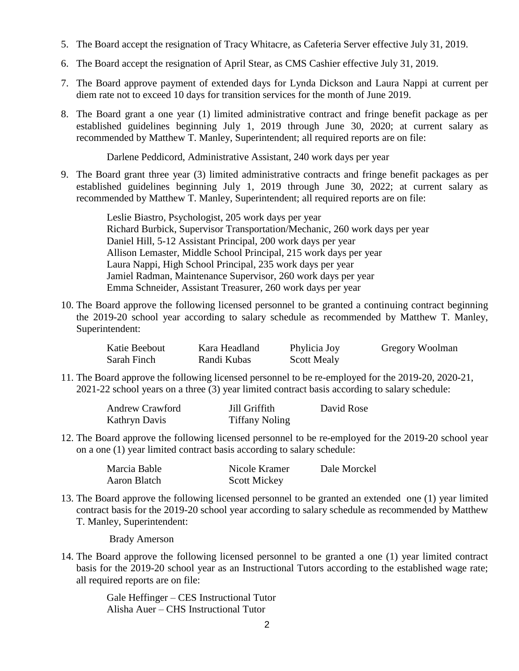- 5. The Board accept the resignation of Tracy Whitacre, as Cafeteria Server effective July 31, 2019.
- 6. The Board accept the resignation of April Stear, as CMS Cashier effective July 31, 2019.
- 7. The Board approve payment of extended days for Lynda Dickson and Laura Nappi at current per diem rate not to exceed 10 days for transition services for the month of June 2019.
- 8. The Board grant a one year (1) limited administrative contract and fringe benefit package as per established guidelines beginning July 1, 2019 through June 30, 2020; at current salary as recommended by Matthew T. Manley, Superintendent; all required reports are on file:

Darlene Peddicord, Administrative Assistant, 240 work days per year

9. The Board grant three year (3) limited administrative contracts and fringe benefit packages as per established guidelines beginning July 1, 2019 through June 30, 2022; at current salary as recommended by Matthew T. Manley, Superintendent; all required reports are on file:

> Leslie Biastro, Psychologist, 205 work days per year Richard Burbick, Supervisor Transportation/Mechanic, 260 work days per year Daniel Hill, 5-12 Assistant Principal, 200 work days per year Allison Lemaster, Middle School Principal, 215 work days per year Laura Nappi, High School Principal, 235 work days per year Jamiel Radman, Maintenance Supervisor, 260 work days per year Emma Schneider, Assistant Treasurer, 260 work days per year

10. The Board approve the following licensed personnel to be granted a continuing contract beginning the 2019-20 school year according to salary schedule as recommended by Matthew T. Manley, Superintendent:

| Katie Beebout | Kara Headland | Phylicia Joy       | Gregory Woolman |
|---------------|---------------|--------------------|-----------------|
| Sarah Finch   | Randi Kubas   | <b>Scott Mealy</b> |                 |

11. The Board approve the following licensed personnel to be re-employed for the 2019-20, 2020-21, 2021-22 school years on a three (3) year limited contract basis according to salary schedule:

| <b>Andrew Crawford</b> | Jill Griffith         | David Rose |
|------------------------|-----------------------|------------|
| <b>Kathryn Davis</b>   | <b>Tiffany Noling</b> |            |

12. The Board approve the following licensed personnel to be re-employed for the 2019-20 school year on a one (1) year limited contract basis according to salary schedule:

| Marcia Bable | Nicole Kramer       | Dale Morckel |
|--------------|---------------------|--------------|
| Aaron Blatch | <b>Scott Mickey</b> |              |

13. The Board approve the following licensed personnel to be granted an extended one (1) year limited contract basis for the 2019-20 school year according to salary schedule as recommended by Matthew T. Manley, Superintendent:

Brady Amerson

14. The Board approve the following licensed personnel to be granted a one (1) year limited contract basis for the 2019-20 school year as an Instructional Tutors according to the established wage rate; all required reports are on file:

> Gale Heffinger – CES Instructional Tutor Alisha Auer – CHS Instructional Tutor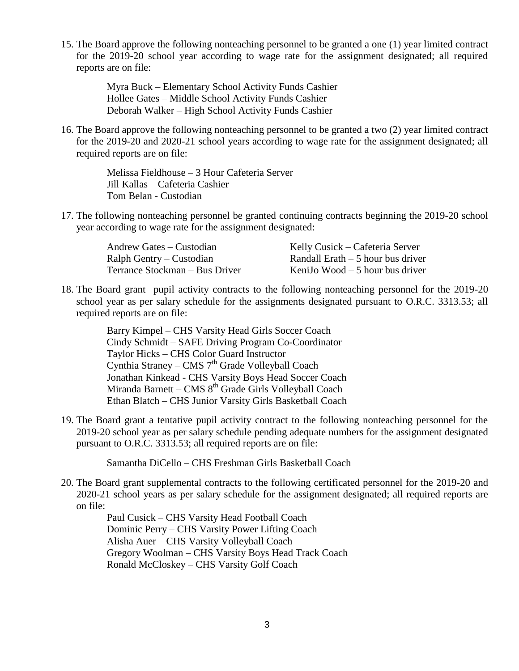15. The Board approve the following nonteaching personnel to be granted a one (1) year limited contract for the 2019-20 school year according to wage rate for the assignment designated; all required reports are on file:

> Myra Buck – Elementary School Activity Funds Cashier Hollee Gates – Middle School Activity Funds Cashier Deborah Walker – High School Activity Funds Cashier

16. The Board approve the following nonteaching personnel to be granted a two (2) year limited contract for the 2019-20 and 2020-21 school years according to wage rate for the assignment designated; all required reports are on file:

> Melissa Fieldhouse – 3 Hour Cafeteria Server Jill Kallas – Cafeteria Cashier Tom Belan - Custodian

17. The following nonteaching personnel be granted continuing contracts beginning the 2019-20 school year according to wage rate for the assignment designated:

| Andrew Gates – Custodian       | Kelly Cusick – Cafeteria Server    |
|--------------------------------|------------------------------------|
| Ralph Gentry – Custodian       | Randall Erath $-5$ hour bus driver |
| Terrance Stockman – Bus Driver | KeniJo Wood $-5$ hour bus driver   |

18. The Board grant pupil activity contracts to the following nonteaching personnel for the 2019-20 school year as per salary schedule for the assignments designated pursuant to O.R.C. 3313.53; all required reports are on file:

> Barry Kimpel – CHS Varsity Head Girls Soccer Coach Cindy Schmidt – SAFE Driving Program Co-Coordinator Taylor Hicks – CHS Color Guard Instructor Cynthia Straney – CMS  $7<sup>th</sup>$  Grade Volleyball Coach Jonathan Kinkead - CHS Varsity Boys Head Soccer Coach Miranda Barnett – CMS  $8<sup>th</sup>$  Grade Girls Volleyball Coach Ethan Blatch – CHS Junior Varsity Girls Basketball Coach

19. The Board grant a tentative pupil activity contract to the following nonteaching personnel for the 2019-20 school year as per salary schedule pending adequate numbers for the assignment designated pursuant to O.R.C. 3313.53; all required reports are on file:

Samantha DiCello – CHS Freshman Girls Basketball Coach

20. The Board grant supplemental contracts to the following certificated personnel for the 2019-20 and 2020-21 school years as per salary schedule for the assignment designated; all required reports are on file:

> Paul Cusick – CHS Varsity Head Football Coach Dominic Perry – CHS Varsity Power Lifting Coach Alisha Auer – CHS Varsity Volleyball Coach Gregory Woolman – CHS Varsity Boys Head Track Coach Ronald McCloskey – CHS Varsity Golf Coach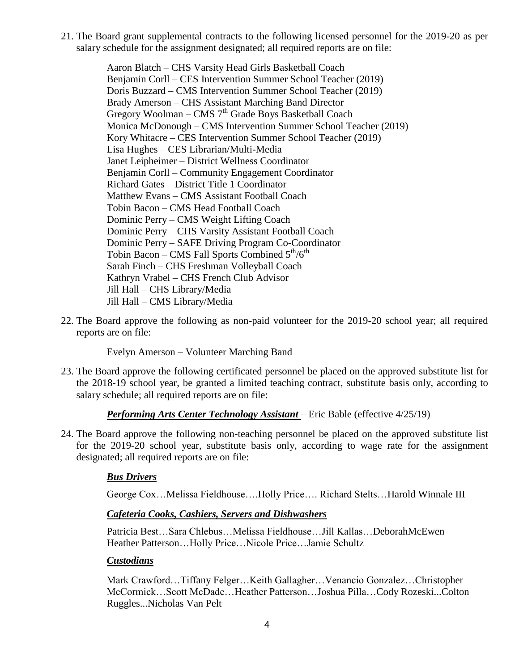21. The Board grant supplemental contracts to the following licensed personnel for the 2019-20 as per salary schedule for the assignment designated; all required reports are on file:

> Aaron Blatch – CHS Varsity Head Girls Basketball Coach Benjamin Corll – CES Intervention Summer School Teacher (2019) Doris Buzzard – CMS Intervention Summer School Teacher (2019) Brady Amerson – CHS Assistant Marching Band Director Gregory Woolman – CMS 7<sup>th</sup> Grade Boys Basketball Coach Monica McDonough – CMS Intervention Summer School Teacher (2019) Kory Whitacre – CES Intervention Summer School Teacher (2019) Lisa Hughes – CES Librarian/Multi-Media Janet Leipheimer – District Wellness Coordinator Benjamin Corll – Community Engagement Coordinator Richard Gates – District Title 1 Coordinator Matthew Evans – CMS Assistant Football Coach Tobin Bacon – CMS Head Football Coach Dominic Perry – CMS Weight Lifting Coach Dominic Perry – CHS Varsity Assistant Football Coach Dominic Perry – SAFE Driving Program Co-Coordinator Tobin Bacon – CMS Fall Sports Combined  $5<sup>th</sup>/6<sup>th</sup>$ Sarah Finch – CHS Freshman Volleyball Coach Kathryn Vrabel – CHS French Club Advisor Jill Hall – CHS Library/Media Jill Hall – CMS Library/Media

22. The Board approve the following as non-paid volunteer for the 2019-20 school year; all required reports are on file:

Evelyn Amerson – Volunteer Marching Band

23. The Board approve the following certificated personnel be placed on the approved substitute list for the 2018-19 school year, be granted a limited teaching contract, substitute basis only, according to salary schedule; all required reports are on file:

#### *Performing Arts Center Technology Assistant* – Eric Bable (effective 4/25/19)

24. The Board approve the following non-teaching personnel be placed on the approved substitute list for the 2019-20 school year, substitute basis only, according to wage rate for the assignment designated; all required reports are on file:

#### *Bus Drivers*

George Cox…Melissa Fieldhouse….Holly Price…. Richard Stelts…Harold Winnale III

#### *Cafeteria Cooks, Cashiers, Servers and Dishwashers*

Patricia Best…Sara Chlebus…Melissa Fieldhouse…Jill Kallas…DeborahMcEwen Heather Patterson…Holly Price…Nicole Price…Jamie Schultz

#### *Custodians*

Mark Crawford…Tiffany Felger…Keith Gallagher…Venancio Gonzalez…Christopher McCormick…Scott McDade…Heather Patterson…Joshua Pilla…Cody Rozeski...Colton Ruggles...Nicholas Van Pelt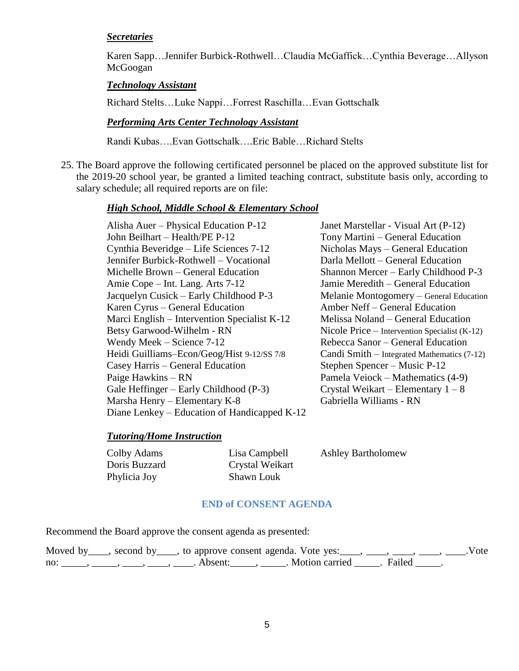#### *Secretaries*

Karen Sapp…Jennifer Burbick-Rothwell…Claudia McGaffick…Cynthia Beverage…Allyson McGoogan

#### *Technology Assistant*

Richard Stelts…Luke Nappi…Forrest Raschilla…Evan Gottschalk

#### *Performing Arts Center Technology Assistant*

Randi Kubas….Evan Gottschalk….Eric Bable…Richard Stelts

25. The Board approve the following certificated personnel be placed on the approved substitute list for the 2019-20 school year, be granted a limited teaching contract, substitute basis only, according to salary schedule; all required reports are on file:

#### *High School, Middle School & Elementary School*

Alisha Auer – Physical Education P-12 Janet Marstellar - Visual Art (P-12) John Beilhart – Health/PE P-12 Tony Martini – General Education Cynthia Beveridge – Life Sciences 7-12 Nicholas Mays – General Education Jennifer Burbick-Rothwell – Vocational Darla Mellott – General Education Michelle Brown – General Education Shannon Mercer – Early Childhood P-3 Amie Cope – Int. Lang. Arts 7-12 Jamie Meredith – General Education Jacquelyn Cusick – Early Childhood P-3 Melanie Montogomery – General Education Karen Cyrus – General Education **Amber Neff – General Education** Marci English – Intervention Specialist K-12 Melissa Noland – General Education Betsy Garwood-Wilhelm - RN Nicole Price – Intervention Specialist (K-12) Wendy Meek – Science 7-12 Rebecca Sanor – General Education Heidi Guilliams–Econ/Geog/Hist 9-12/SS 7/8 Candi Smith – Integrated Mathematics (7-12) Casey Harris – General Education Stephen Spencer – Music P-12 Paige Hawkins – RN Pamela Veiock – Mathematics (4-9) Gale Heffinger – Early Childhood (P-3) Crystal Weikart – Elementary  $1 - 8$ Marsha Henry – Elementary K-8 Gabriella Williams - RN Diane Lenkey – Education of Handicapped K-12

#### *Tutoring/Home Instruction*

Phylicia Joy Shawn Louk

Doris Buzzard Crystal Weikart

Colby Adams Lisa Campbell Ashley Bartholomew

#### **END of CONSENT AGENDA**

Recommend the Board approve the consent agenda as presented:

|     | Moved by ____, second by ____, to approve consent agenda. Vote yes: ____, ____, ____, ____, ____, Wote |         |                       |  |  |
|-----|--------------------------------------------------------------------------------------------------------|---------|-----------------------|--|--|
| no: |                                                                                                        | Absent: | Motion carried Failed |  |  |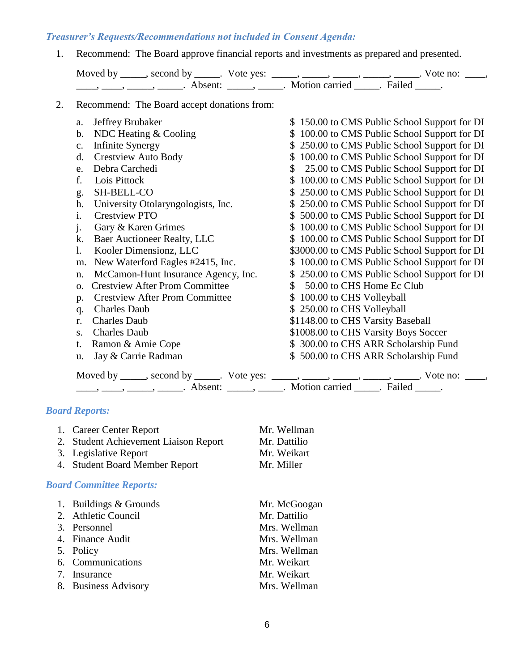### *Treasurer's Requests/Recommendations not included in Consent Agenda:*

1. Recommend: The Board approve financial reports and investments as prepared and presented.

| Moved by | , second by ______. Vote yes: |                |        | no: |
|----------|-------------------------------|----------------|--------|-----|
|          | A hsent:                      | Motion carried | Failed |     |

2. Recommend: The Board accept donations from:

| Jeffrey Brubaker<br>a.                                                                                                                                                                                                                                                                                                                                                                                                      | \$150.00 to CMS Public School Support for DI                                                 |
|-----------------------------------------------------------------------------------------------------------------------------------------------------------------------------------------------------------------------------------------------------------------------------------------------------------------------------------------------------------------------------------------------------------------------------|----------------------------------------------------------------------------------------------|
| NDC Heating & Cooling<br>b.                                                                                                                                                                                                                                                                                                                                                                                                 | \$100.00 to CMS Public School Support for DI                                                 |
| <b>Infinite Synergy</b><br>c.                                                                                                                                                                                                                                                                                                                                                                                               | \$250.00 to CMS Public School Support for DI                                                 |
| <b>Crestview Auto Body</b><br>d.                                                                                                                                                                                                                                                                                                                                                                                            | \$ 100.00 to CMS Public School Support for DI                                                |
| Debra Carchedi<br>e.                                                                                                                                                                                                                                                                                                                                                                                                        | 25.00 to CMS Public School Support for DI<br>\$                                              |
| Lois Pittock<br>f.                                                                                                                                                                                                                                                                                                                                                                                                          | 100.00 to CMS Public School Support for DI<br>S.                                             |
| SH-BELL-CO<br>g.                                                                                                                                                                                                                                                                                                                                                                                                            | \$ 250.00 to CMS Public School Support for DI                                                |
| University Otolaryngologists, Inc.<br>h.                                                                                                                                                                                                                                                                                                                                                                                    | \$250.00 to CMS Public School Support for DI                                                 |
| <b>Crestview PTO</b><br>$\mathbf{i}$ .                                                                                                                                                                                                                                                                                                                                                                                      | \$500.00 to CMS Public School Support for DI                                                 |
| Gary & Karen Grimes<br>j.                                                                                                                                                                                                                                                                                                                                                                                                   | \$100.00 to CMS Public School Support for DI                                                 |
| Baer Auctioneer Realty, LLC<br>k.                                                                                                                                                                                                                                                                                                                                                                                           | \$100.00 to CMS Public School Support for DI                                                 |
| Kooler Dimensionz, LLC<br>1.                                                                                                                                                                                                                                                                                                                                                                                                | \$3000.00 to CMS Public School Support for DI                                                |
| New Waterford Eagles #2415, Inc.<br>m.                                                                                                                                                                                                                                                                                                                                                                                      | \$100.00 to CMS Public School Support for DI                                                 |
| McCamon-Hunt Insurance Agency, Inc.<br>n.                                                                                                                                                                                                                                                                                                                                                                                   | \$250.00 to CMS Public School Support for DI                                                 |
| <b>Crestview After Prom Committee</b><br>0.                                                                                                                                                                                                                                                                                                                                                                                 | 50.00 to CHS Home Ec Club<br>S.                                                              |
| <b>Crestview After Prom Committee</b><br>p.                                                                                                                                                                                                                                                                                                                                                                                 | \$100.00 to CHS Volleyball                                                                   |
| <b>Charles Daub</b><br>q.                                                                                                                                                                                                                                                                                                                                                                                                   | \$250.00 to CHS Volleyball                                                                   |
| <b>Charles Daub</b><br>r.                                                                                                                                                                                                                                                                                                                                                                                                   | \$1148.00 to CHS Varsity Baseball                                                            |
| <b>Charles Daub</b><br>S.                                                                                                                                                                                                                                                                                                                                                                                                   | \$1008.00 to CHS Varsity Boys Soccer                                                         |
| Ramon & Amie Cope<br>t.                                                                                                                                                                                                                                                                                                                                                                                                     | \$ 300.00 to CHS ARR Scholarship Fund                                                        |
| Jay & Carrie Radman<br>u.                                                                                                                                                                                                                                                                                                                                                                                                   | \$500.00 to CHS ARR Scholarship Fund                                                         |
|                                                                                                                                                                                                                                                                                                                                                                                                                             | Moved by _____, second by _____. Vote yes: _____, _____, _____, _____, _____. Vote no: ____, |
| $\frac{1}{1}, \frac{1}{1}, \frac{1}{1}, \frac{1}{1}, \frac{1}{1}, \frac{1}{1}, \frac{1}{1}, \frac{1}{1}, \frac{1}{1}, \frac{1}{1}, \frac{1}{1}, \frac{1}{1}, \frac{1}{1}, \frac{1}{1}, \frac{1}{1}, \frac{1}{1}, \frac{1}{1}, \frac{1}{1}, \frac{1}{1}, \frac{1}{1}, \frac{1}{1}, \frac{1}{1}, \frac{1}{1}, \frac{1}{1}, \frac{1}{1}, \frac{1}{1}, \frac{1}{1}, \frac{1}{1}, \frac{1}{1}, \frac{1}{1}, \frac{1}{1}, \frac{$ |                                                                                              |

### *Board Reports:*

| 1. Career Center Report               | Mr. Wellman  |
|---------------------------------------|--------------|
| 2. Student Achievement Liaison Report | Mr. Dattilio |
| 3. Legislative Report                 | Mr. Weikart  |
| 4. Student Board Member Report        | Mr. Miller   |

### *Board Committee Reports:*

| 1. Buildings & Grounds | Mr. McGoogan |
|------------------------|--------------|
| 2. Athletic Council    | Mr. Dattilio |
| 3. Personnel           | Mrs. Wellman |
| 4. Finance Audit       | Mrs. Wellman |
| 5. Policy              | Mrs. Wellman |
| 6. Communications      | Mr. Weikart  |
| 7. Insurance           | Mr. Weikart  |
| 8. Business Advisory   | Mrs. Wellman |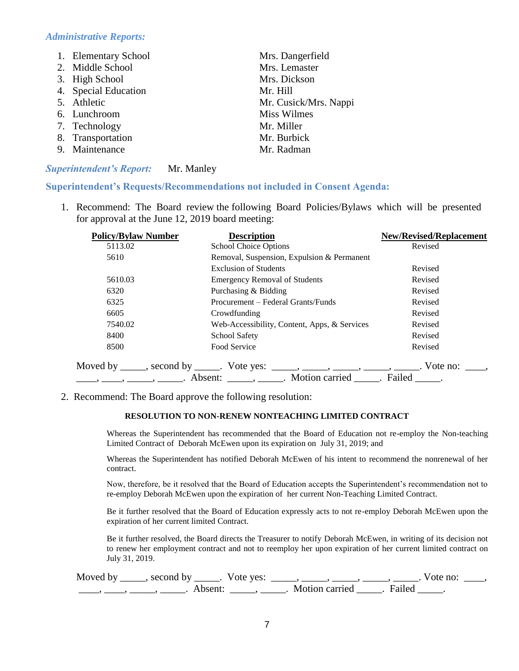#### *Administrative Reports:*

| 1. Elementary School | Mrs. Dangerfield      |
|----------------------|-----------------------|
| 2. Middle School     | Mrs. Lemaster         |
| 3. High School       | Mrs. Dickson          |
| 4. Special Education | Mr. Hill              |
| 5. Athletic          | Mr. Cusick/Mrs. Nappi |
| 6. Lunchroom         | <b>Miss Wilmes</b>    |
| 7. Technology        | Mr. Miller            |
| 8. Transportation    | Mr. Burbick           |
| 9. Maintenance       | Mr. Radman            |

#### *Superintendent's Report:* Mr. Manley

#### **Superintendent's Requests/Recommendations not included in Consent Agenda:**

1. Recommend: The Board review the following Board Policies/Bylaws which will be presented for approval at the June 12, 2019 board meeting:

| <b>Policy/Bylaw Number</b> | <b>Description</b>                                                                           | <b>New/Revised/Replacement</b> |
|----------------------------|----------------------------------------------------------------------------------------------|--------------------------------|
| 5113.02                    | School Choice Options                                                                        | Revised                        |
| 5610                       | Removal, Suspension, Expulsion & Permanent                                                   |                                |
|                            | <b>Exclusion of Students</b>                                                                 | Revised                        |
| 5610.03                    | <b>Emergency Removal of Students</b>                                                         | Revised                        |
| 6320                       | Purchasing & Bidding                                                                         | Revised                        |
| 6325                       | Procurement – Federal Grants/Funds                                                           | Revised                        |
| 6605                       | Crowdfunding                                                                                 | Revised                        |
| 7540.02                    | Web-Accessibility, Content, Apps, & Services                                                 | Revised                        |
| 8400                       | School Safety                                                                                | Revised                        |
| 8500                       | Food Service                                                                                 | Revised                        |
|                            | Moved by _____, second by ______. Vote yes: _____, _____, _____, _____, _____. Vote no: ____ |                                |
|                            |                                                                                              |                                |

2. Recommend: The Board approve the following resolution:

#### **RESOLUTION TO NON-RENEW NONTEACHING LIMITED CONTRACT**

Whereas the Superintendent has recommended that the Board of Education not re-employ the Non-teaching Limited Contract of Deborah McEwen upon its expiration on July 31, 2019; and

Whereas the Superintendent has notified Deborah McEwen of his intent to recommend the nonrenewal of her contract.

Now, therefore, be it resolved that the Board of Education accepts the Superintendent's recommendation not to re-employ Deborah McEwen upon the expiration of her current Non-Teaching Limited Contract.

Be it further resolved that the Board of Education expressly acts to not re-employ Deborah McEwen upon the expiration of her current limited Contract.

Be it further resolved, the Board directs the Treasurer to notify Deborah McEwen, in writing of its decision not to renew her employment contract and not to reemploy her upon expiration of her current limited contract on July 31, 2019.

Moved by \_\_\_\_\_, second by \_\_\_\_\_. Vote yes:  $\_\_\_\_\_\_\_\_\_\_\_\_\_\_\_$  \_\_\_\_\_, \_\_\_\_\_, \_\_\_\_\_. Vote no:  $\_\_\_\_\_\_\$ \_\_\_\_\_, \_\_\_\_\_\_, \_\_\_\_\_\_\_. Absent: \_\_\_\_\_\_, \_\_\_\_\_\_. Motion carried \_\_\_\_\_\_. Failed \_\_\_\_\_.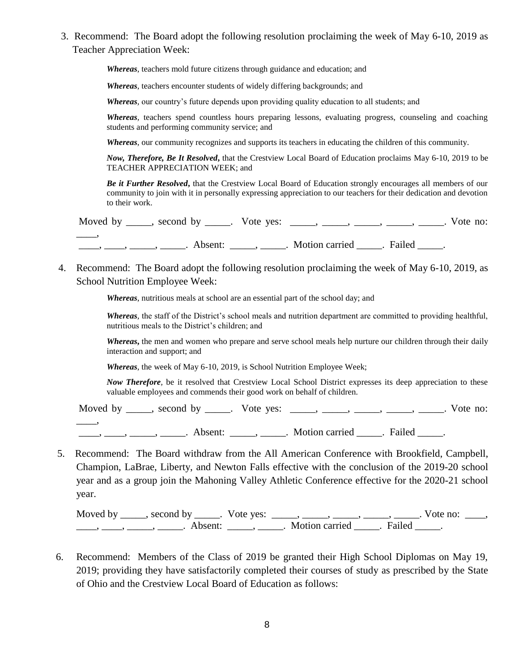3. Recommend: The Board adopt the following resolution proclaiming the week of May 6-10, 2019 as Teacher Appreciation Week:

*Whereas*, teachers mold future citizens through guidance and education; and

*Whereas*, teachers encounter students of widely differing backgrounds; and

*Whereas,* our country's future depends upon providing quality education to all students; and

*Whereas,* teachers spend countless hours preparing lessons, evaluating progress, counseling and coaching students and performing community service; and

*Whereas*, our community recognizes and supports its teachers in educating the children of this community.

*Now, Therefore, Be It Resolved***,** that the Crestview Local Board of Education proclaims May 6-10, 2019 to be TEACHER APPRECIATION WEEK; and

*Be it Further Resolved***,** that the Crestview Local Board of Education strongly encourages all members of our community to join with it in personally expressing appreciation to our teachers for their dedication and devotion to their work.

| Moved by _____, second by _____. Vote yes: _____, _____, _____, _____, _____. |                                                        |  | . Vote no: |
|-------------------------------------------------------------------------------|--------------------------------------------------------|--|------------|
|                                                                               | Absent: ______, ______. Motion carried _______. Failed |  |            |

4. Recommend: The Board adopt the following resolution proclaiming the week of May 6-10, 2019, as School Nutrition Employee Week:

*Whereas*, nutritious meals at school are an essential part of the school day; and

*Whereas,* the staff of the District's school meals and nutrition department are committed to providing healthful, nutritious meals to the District's children; and

*Whereas***,** the men and women who prepare and serve school meals help nurture our children through their daily interaction and support; and

*Whereas*, the week of May 6-10, 2019, is School Nutrition Employee Week;

*Now Therefore,* be it resolved that Crestview Local School District expresses its deep appreciation to these valuable employees and commends their good work on behalf of children.

Moved by  $\_\_\_\_\_\$ , second by  $\_\_\_\_\$ . Vote yes:  $\_\_\_\_\_\_\_\_\_\_\_\_\_\_\_\_\_\_\_\_\_\_$ . Vote no:  $\overline{\phantom{a}}$ \_\_\_\_, \_\_\_\_, \_\_\_\_\_, Absent: \_\_\_\_\_, \_\_\_\_\_. Motion carried \_\_\_\_\_. Failed \_\_\_\_\_.

5. Recommend: The Board withdraw from the All American Conference with Brookfield, Campbell, Champion, LaBrae, Liberty, and Newton Falls effective with the conclusion of the 2019-20 school year and as a group join the Mahoning Valley Athletic Conference effective for the 2020-21 school year.

Moved by \_\_\_\_\_, second by \_\_\_\_\_. Vote yes:  $\_\_\_\_\_\_\_\_\_\_\_\_\_\_\_\_\_\_\_$  \_\_\_\_, \_\_\_\_, \_\_\_\_. Vote no:  $\_\_\_\_\_\$ \_\_\_\_\_, \_\_\_\_\_\_, \_\_\_\_\_\_\_. Absent: \_\_\_\_\_\_, \_\_\_\_\_\_. Motion carried \_\_\_\_\_\_. Failed \_\_\_\_\_.

6. Recommend: Members of the Class of 2019 be granted their High School Diplomas on May 19, 2019; providing they have satisfactorily completed their courses of study as prescribed by the State of Ohio and the Crestview Local Board of Education as follows: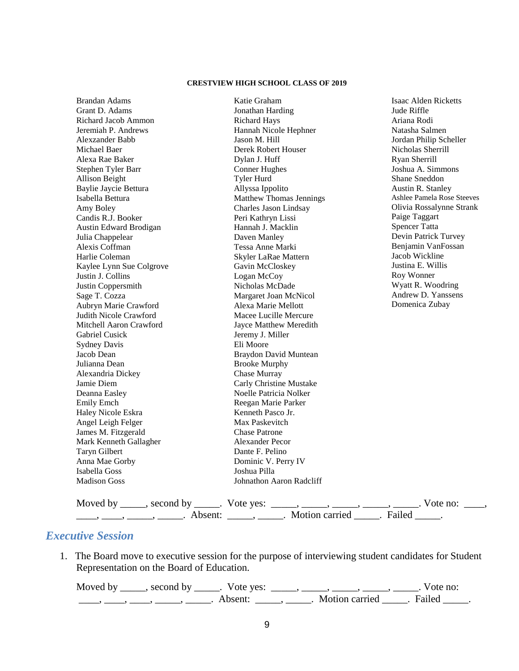#### **CRESTVIEW HIGH SCHOOL CLASS OF 2019**

| <b>Brandan Adams</b>     | Katie Graham                   | Isaac Alden Ricketts       |
|--------------------------|--------------------------------|----------------------------|
| Grant D. Adams           | Jonathan Harding               | Jude Riffle                |
| Richard Jacob Ammon      | <b>Richard Hays</b>            | Ariana Rodi                |
| Jeremiah P. Andrews      | Hannah Nicole Hephner          | Natasha Salmen             |
| Alexzander Babb          | Jason M. Hill                  | Jordan Philip Scheller     |
| Michael Baer             | Derek Robert Houser            | Nicholas Sherrill          |
| Alexa Rae Baker          | Dylan J. Huff                  | Ryan Sherrill              |
| Stephen Tyler Barr       | <b>Conner Hughes</b>           | Joshua A. Simmons          |
| Allison Beight           | <b>Tyler Hurd</b>              | Shane Sneddon              |
| Baylie Jaycie Bettura    | Allyssa Ippolito               | Austin R. Stanley          |
| Isabella Bettura         | <b>Matthew Thomas Jennings</b> | Ashlee Pamela Rose Steeves |
| Amy Boley                | Charles Jason Lindsay          | Olivia Rossalynne Strank   |
| Candis R.J. Booker       | Peri Kathryn Lissi             | Paige Taggart              |
| Austin Edward Brodigan   | Hannah J. Macklin              | <b>Spencer Tatta</b>       |
| Julia Chappelear         | Daven Manley                   | Devin Patrick Turvey       |
| Alexis Coffman           | Tessa Anne Marki               | Benjamin VanFossan         |
| Harlie Coleman           | Skyler LaRae Mattern           | Jacob Wickline             |
| Kaylee Lynn Sue Colgrove | Gavin McCloskey                | Justina E. Willis          |
| Justin J. Collins        | Logan McCoy                    | Roy Wonner                 |
| Justin Coppersmith       | Nicholas McDade                | Wyatt R. Woodring          |
| Sage T. Cozza            | Margaret Joan McNicol          | Andrew D. Yanssens         |
| Aubryn Marie Crawford    | Alexa Marie Mellott            | Domenica Zubay             |
| Judith Nicole Crawford   | Macee Lucille Mercure          |                            |
| Mitchell Aaron Crawford  | Jayce Matthew Meredith         |                            |
| <b>Gabriel Cusick</b>    | Jeremy J. Miller               |                            |
| <b>Sydney Davis</b>      | Eli Moore                      |                            |
| Jacob Dean               | Braydon David Muntean          |                            |
| Julianna Dean            | <b>Brooke Murphy</b>           |                            |
| Alexandria Dickey        | Chase Murray                   |                            |
| Jamie Diem               | Carly Christine Mustake        |                            |
| Deanna Easley            | Noelle Patricia Nolker         |                            |
| <b>Emily Emch</b>        | Reegan Marie Parker            |                            |
| Haley Nicole Eskra       | Kenneth Pasco Jr.              |                            |
| Angel Leigh Felger       | Max Paskevitch                 |                            |
| James M. Fitzgerald      | <b>Chase Patrone</b>           |                            |
| Mark Kenneth Gallagher   | <b>Alexander Pecor</b>         |                            |
| <b>Taryn Gilbert</b>     | Dante F. Pelino                |                            |
| Anna Mae Gorby           | Dominic V. Perry IV            |                            |
| Isabella Goss            | Joshua Pilla                   |                            |
| <b>Madison Goss</b>      | Johnathon Aaron Radcliff       |                            |
|                          |                                |                            |
|                          |                                |                            |

Moved by \_\_\_\_\_, second by \_\_\_\_\_. Vote yes:  $\_\_\_\_\_\_\_\_\_\_\_\_\_\_\_\_\_$  \_\_\_\_, \_\_\_\_, \_\_\_\_. Vote no:  $\_\_\_\_\_\$ \_\_\_\_\_, \_\_\_\_\_\_, \_\_\_\_\_\_\_. Absent: \_\_\_\_\_\_, \_\_\_\_\_\_. Motion carried \_\_\_\_\_\_. Failed \_\_\_\_\_.

## *Executive Session*

1. The Board move to executive session for the purpose of interviewing student candidates for Student Representation on the Board of Education.

Moved by \_\_\_\_\_, second by \_\_\_\_\_. Vote yes: \_\_\_\_\_, \_\_\_\_\_, \_\_\_\_\_, \_\_\_\_\_, \_\_\_\_\_. Vote no: \_\_\_\_, \_\_\_\_, \_\_\_\_, \_\_\_\_\_, Absent: \_\_\_\_\_, \_\_\_\_\_. Motion carried \_\_\_\_\_. Failed \_\_\_\_\_.